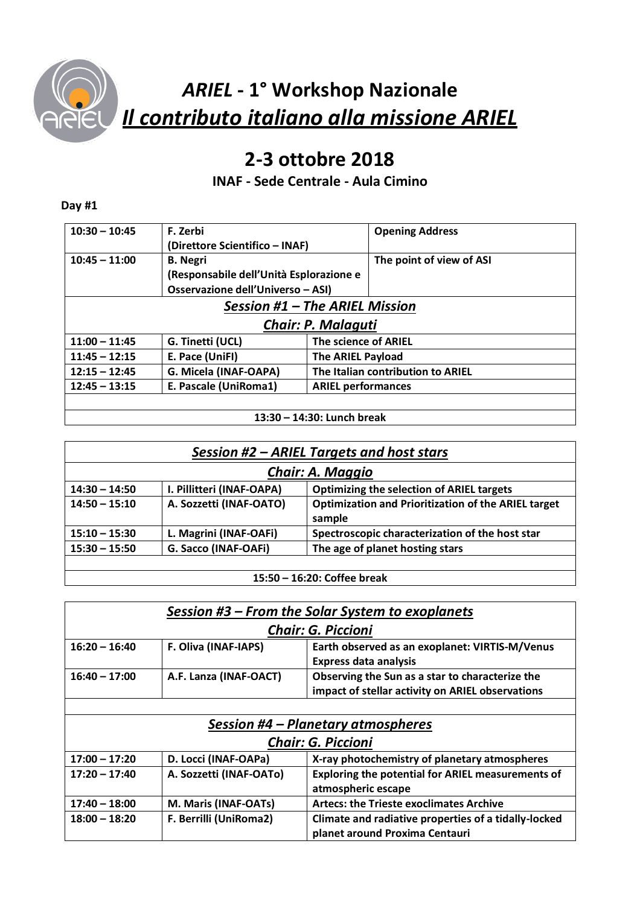

# *ARIEL* **- 1° Workshop Nazionale** *Il contributo italiano alla missione ARIEL*

## **2-3 ottobre 2018**

### **INAF - Sede Centrale - Aula Cimino**

#### **Day #1**

| $10:30 - 10:45$                | F. Zerbi                                |                           | <b>Opening Address</b>            |
|--------------------------------|-----------------------------------------|---------------------------|-----------------------------------|
|                                | (Direttore Scientifico - INAF)          |                           |                                   |
| $10:45 - 11:00$                | <b>B.</b> Negri                         |                           | The point of view of ASI          |
|                                | (Responsabile dell'Unità Esplorazione e |                           |                                   |
|                                | Osservazione dell'Universo - ASI)       |                           |                                   |
| Session #1 - The ARIEL Mission |                                         |                           |                                   |
| Chair: P. Malaguti             |                                         |                           |                                   |
| $11:00 - 11:45$                | G. Tinetti (UCL)                        | The science of ARIEL      |                                   |
| $11:45 - 12:15$                | E. Pace (UniFI)                         | <b>The ARIEL Payload</b>  |                                   |
| $12:15 - 12:45$                | G. Micela (INAF-OAPA)                   |                           | The Italian contribution to ARIEL |
| $12:45 - 13:15$                | E. Pascale (UniRoma1)                   | <b>ARIEL performances</b> |                                   |
|                                |                                         |                           |                                   |

**13:30 – 14:30: Lunch break**

|--|

| <b>Chair: A. Maggio</b> |                           |                                                                      |  |
|-------------------------|---------------------------|----------------------------------------------------------------------|--|
| $14:30 - 14:50$         | I. Pillitteri (INAF-OAPA) | <b>Optimizing the selection of ARIEL targets</b>                     |  |
| $14:50 - 15:10$         | A. Sozzetti (INAF-OATO)   | <b>Optimization and Prioritization of the ARIEL target</b><br>sample |  |
| $15:10 - 15:30$         | L. Magrini (INAF-OAFi)    | Spectroscopic characterization of the host star                      |  |
| $15:30 - 15:50$         | G. Sacco (INAF-OAFi)      | The age of planet hosting stars                                      |  |

**15:50 – 16:20: Coffee break**

|                        | <b>Chair: G. Piccioni</b>                        |  |  |  |
|------------------------|--------------------------------------------------|--|--|--|
| F. Oliva (INAF-IAPS)   | Earth observed as an exoplanet: VIRTIS-M/Venus   |  |  |  |
| $16:20 - 16:40$        | <b>Express data analysis</b>                     |  |  |  |
| A.F. Lanza (INAF-OACT) | Observing the Sun as a star to characterize the  |  |  |  |
| $16:40 - 17:00$        | impact of stellar activity on ARIEL observations |  |  |  |

| Session #4 – Planetary atmospheres |                         |                                                                                        |
|------------------------------------|-------------------------|----------------------------------------------------------------------------------------|
| <b>Chair: G. Piccioni</b>          |                         |                                                                                        |
| $17:00 - 17:20$                    | D. Locci (INAF-OAPa)    | X-ray photochemistry of planetary atmospheres                                          |
| $17:20 - 17:40$                    | A. Sozzetti (INAF-OATo) | Exploring the potential for ARIEL measurements of<br>atmospheric escape                |
| $17:40 - 18:00$                    | M. Maris (INAF-OATs)    | <b>Artecs: the Trieste exoclimates Archive</b>                                         |
| $18:00 - 18:20$                    | F. Berrilli (UniRoma2)  | Climate and radiative properties of a tidally-locked<br>planet around Proxima Centauri |